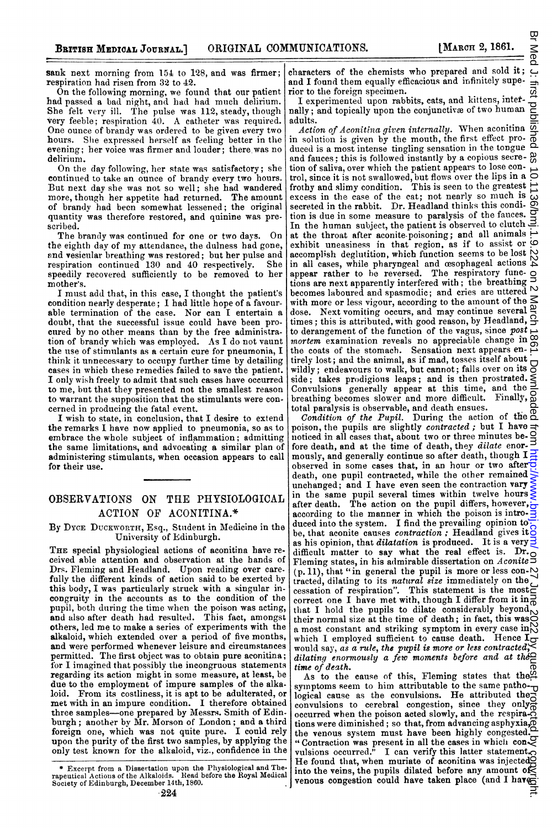sank next morning from 154 to 128, and was firmer; respiration had risen from 32 to 42.

On the following morning, we found that our patient had passed a bad night, and had had much delirium. She felt very ill. The pulse was 112, steady, though Very feeble; respiration 40. A catheter was required. One ounce of brandy was ordered to be given every two hours. She expressed herself as feeling better in the evening; her voice was firmer and louder; there.was no delirium.

On the day following, her state was satisfactory; she continued to take an ounce of brandy every two hours. But next day she was not so well; she had wandered more, though her appetite had returned. The amount of brandy had becn somewhat lessened; the original quantity was therefore restored, and quinine was prescribed.

The brandy was continued for one or two days. On the eighth day of my attendance, the dulness had gone, nnd vesicular breathing was restored; but her pulse and respiration continued <sup>130</sup> and 40 respectively. She speedily recovered sufficiently to be removed to her mother's.

I must add that, in this case, I thought the patient's condition nearly desperate; I had little hope of a favourable termination of the case. Nor can I entertain a doubt, that the successful issue could have been procured by no other means than by the free administration of brandy which was employed. As I do not vaunt the use of stimulants as a certain cure for pneumonia, I think it unnecessary to occupy further time by detailing cases in whicb these remedies failed to save the patient. I only wish freely to admit that such cases have occurred to me, but that they presented not the smallest reason to warrant the supposition that the stimulants were concerned in producing the fatal event.

I wish to state, in conclusion, that I desire to extend the remarks I have now applied to pneumonia, so as to embrace the whole subject of inflammation; admitting the same limitations, and advocating a similar plan of administering stimulants, when occasion appears to call for their use.

## OBSERVATIONS ON THE PHYSIOLOGICAL ACTION OF ACONITINA.\*

By DYCE DUCKWORTH, Esq., Student in Medicine in the University of Edinburgh.

THE special physiological actions of aconitina have received able attention and observation at the hands of Drs. Fleming and Headland. Upon reading over care. fully the different kinds of action said to be exerted by this body, I was particularly struck with a singular incongruity in the accounts as to the condition of the pupil, both during the time wvhen the poison was acting, and also after death had resulted. This fact, amongst others, led me to make <sup>a</sup> series of experiments with the alkaloid, which extended over a period of five months, and were performed whenever leisure and circumstances permitted. The first object was to obtain pure aconitina; for I imagined that possibly the incongruous statements regarding its action might in some measure, at least, be due to the employment of impure samples of the alkaloid. From its costliness, it is apt to be adulterated, or met with in an impure condition. I therefore obtained three samples-one prepared by Messrs. Smith of Edinburgh; another by Mr. Morson of London; and a third foreign one, which was not quite pure. I could rely upon the purity of the first two samples, by applying the only test known for the alkaloid, viz., confidence in the

characters of the chemists who prepared and sold it; and I found them equally efficacious and infinitely superior to the foreign specimen.

I experimented upon rabbits, cats, and kittens, intefnally; and topically upon the conjunctive of two human adults.

 $Action of A$ conitina given internally. When aconitina  $\overline{\mathcal{Q}}$ in solution is given by the mouth, the first effect pro- $\frac{3}{0}$ duced is a most intense tingling sensation in the tongue  $\Delta$ and fauces; this is followed instantly by a copious secre- $\frac{\omega}{\omega}$ tion of saliva, over which the patient appears to lose control, since it is not swallowed, but flows over the lips in a frothy and slimy condition. This is seen to the greatest excess in the case of the cat; not nearly so much is  $\overrightarrow{\omega}$ secreted in the rabbit. Dr. Headland thinks this condi-  $\overline{Q}$ tion is due in some measure to paralysis of the fauces.  $\overline{Q}$ In the human subject, the patient is observed to clutch  $\exists$ . at the throat after aconite-poisoning; and all animals exhibit uneasiness in that region, as if to assist or  $\circ$  $\alpha$ complish deglutition, which function seems to be lost  $\beta$ in all cases, while pharyngeal and cesophageal actions  $\sum_{k=1}^{N}$ appear rather to he reversed. The respiratory functions are next apparently interfered with; the breatbing becomes laboured and spasmodic; and cries are uttered  $\sim$ with more or less vigour, according to the amount of the dose. Next vomiting occurs, and may continue several  $\frac{\Delta}{2}$ times; this is attributed, with good reason, by Headland,  $\frac{1}{2}$ to derangement of the function of the vagus, since  $post$ mortem examination reveals no appreciable change in  $\infty$ the coats of the stomach. Sensation next appears entirely lost; and the animal, as if mad, tosses itself about wildly; endeavours to walk, but cannot; falls over on its side; takes prodigious leaps; and is then prostrated. Side; takes prodigious teaps, and is time, and the  $\frac{3}{5}$ breathing becomes slower and more difficult. Finally,  $\Omega$ total paralysis is observable, and death ensues.

Condition of the Pupil. During the action of the  $^{\circ}$ poison, the pupils are slightly contracted; but I have  $\equiv$ noticed in all cases that, about two or three minutes before death, and at the time of death, they dilate enor- $\exists$ mously, and generally continue so after death, though  $I \equiv$ observed in some cases that, in an hour or two after  $\frac{1}{2}$ death, one pupil contracted, while the other remained unchanged; and I have even seen the contraction vary in the same pupil several times within twelve hours after death. The action on the pupil differs, however, according to the manner in which the poison is introduced into the system. I find the prevailing opinion to: be, that aconite causes contraction; Headland gives it 8 as his opinion, that *dilatation* is produced. It is a very  $\frac{1}{2}$ difficult matter to say what the real effect is. Dr. Fleming states, in his admirable dissertation on Aconite 5  $(p, 11)$ , that "in general the pupil is more or less con- $\mathbb{N}$ tracted, dilating to its natural size immediately on the cessation of respiration". This statement is the most correct one I have met with, though I differ from it in  $\frac{3}{6}$ that I hold the pupils to dilate considerably beyond  $\sim$ their normal size at the time of death; in fact, this was  $\frac{80}{8}$  a most constant and striking symptom in every case in  $\frac{80}{8}$ a most constant and striking symptom in every case in which I employed sufficient to cause death. Hence I would say, as a rule, the pupil is more or less contracted; dilating enormously a few moments before and at the  $\cong$ time of death.

As to the cause of this, Fleming states that the  $\Omega$ symptoms seem to him attributable to the same pathological cause as the convulsions. He attributed the convulsions to cerebral congestion, since they only occurred when the poison acted slowly, and the respiraoccurred when the policy accuracy of the straight dimension of the straight of the straight of the straight of the straight of the straight of the straight of the straight of the straight of the straight of the straight of the venous system must have been highly congested. " Contraction was present in all the cases in whichi con-vulsions occurred." I can verify this latter statement. He found that, when muriate of aconitina was injected into the veins, the pupils dilated before any amount of venous congestion could have taken place (and I have

<sup>\*</sup> Excerpt from a Dissertation upon the Physiological and Therapeutical Actiorns of the Alkaloids. Read before the Royal Medical Society of Edinburgh, December 14th, 1860.